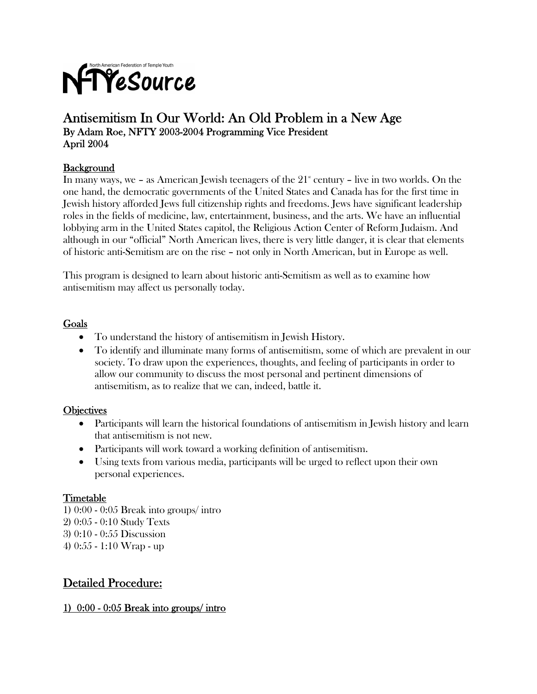

## Antisemitism In Our World: An Old Problem in a New Age By Adam Roe, NFTY 2003-2004 Programming Vice President April 2004

## **Background**

In many ways, we – as American Jewish teenagers of the  $21^{\circ}$  century – live in two worlds. On the one hand, the democratic governments of the United States and Canada has for the first time in Jewish history afforded Jews full citizenship rights and freedoms. Jews have significant leadership roles in the fields of medicine, law, entertainment, business, and the arts. We have an influential lobbying arm in the United States capitol, the Religious Action Center of Reform Judaism. And although in our "official" North American lives, there is very little danger, it is clear that elements of historic anti-Semitism are on the rise – not only in North American, but in Europe as well.

This program is designed to learn about historic anti-Semitism as well as to examine how antisemitism may affect us personally today.

#### Goals

- To understand the history of antisemitism in Jewish History.
- To identify and illuminate many forms of antisemitism, some of which are prevalent in our society. To draw upon the experiences, thoughts, and feeling of participants in order to allow our community to discuss the most personal and pertinent dimensions of antisemitism, as to realize that we can, indeed, battle it.

#### **Objectives**

- Participants will learn the historical foundations of antisemitism in Jewish history and learn that antisemitism is not new.
- Participants will work toward a working definition of antisemitism.
- Using texts from various media, participants will be urged to reflect upon their own personal experiences.

#### Timetable

1) 0:00 - 0:05 Break into groups/ intro 2) 0:05 - 0:10 Study Texts 3) 0:10 - 0:55 Discussion 4) 0:55 - 1:10 Wrap - up

## Detailed Procedure:

#### 1) 0:00 - 0:05 Break into groups/ intro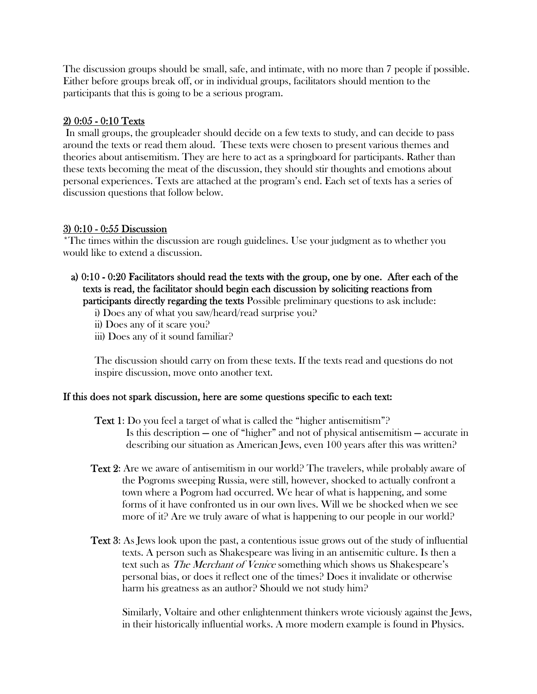The discussion groups should be small, safe, and intimate, with no more than 7 people if possible. Either before groups break off, or in individual groups, facilitators should mention to the participants that this is going to be a serious program.

#### 2) 0:05 - 0:10 Texts

 In small groups, the groupleader should decide on a few texts to study, and can decide to pass around the texts or read them aloud. These texts were chosen to present various themes and theories about antisemitism. They are here to act as a springboard for participants. Rather than these texts becoming the meat of the discussion, they should stir thoughts and emotions about personal experiences. Texts are attached at the program's end. Each set of texts has a series of discussion questions that follow below.

### 3) 0:10 - 0:55 Discussion

\*The times within the discussion are rough guidelines. Use your judgment as to whether you would like to extend a discussion.

### a) 0:10 - 0:20 Facilitators should read the texts with the group, one by one. After each of the texts is read, the facilitator should begin each discussion by soliciting reactions from participants directly regarding the texts Possible preliminary questions to ask include:

i) Does any of what you saw/heard/read surprise you?

- ii) Does any of it scare you?
- iii) Does any of it sound familiar?

The discussion should carry on from these texts. If the texts read and questions do not inspire discussion, move onto another text.

## If this does not spark discussion, here are some questions specific to each text:

- Text 1: Do you feel a target of what is called the "higher antisemitism"? Is this description — one of "higher" and not of physical antisemitism — accurate in describing our situation as American Jews, even 100 years after this was written?
- Text 2: Are we aware of antisemitism in our world? The travelers, while probably aware of the Pogroms sweeping Russia, were still, however, shocked to actually confront a town where a Pogrom had occurred. We hear of what is happening, and some forms of it have confronted us in our own lives. Will we be shocked when we see more of it? Are we truly aware of what is happening to our people in our world?
- Text 3: As Jews look upon the past, a contentious issue grows out of the study of influential texts. A person such as Shakespeare was living in an antisemitic culture. Is then a text such as The Merchant of Venice something which shows us Shakespeare's personal bias, or does it reflect one of the times? Does it invalidate or otherwise harm his greatness as an author? Should we not study him?

 Similarly, Voltaire and other enlightenment thinkers wrote viciously against the Jews, in their historically influential works. A more modern example is found in Physics.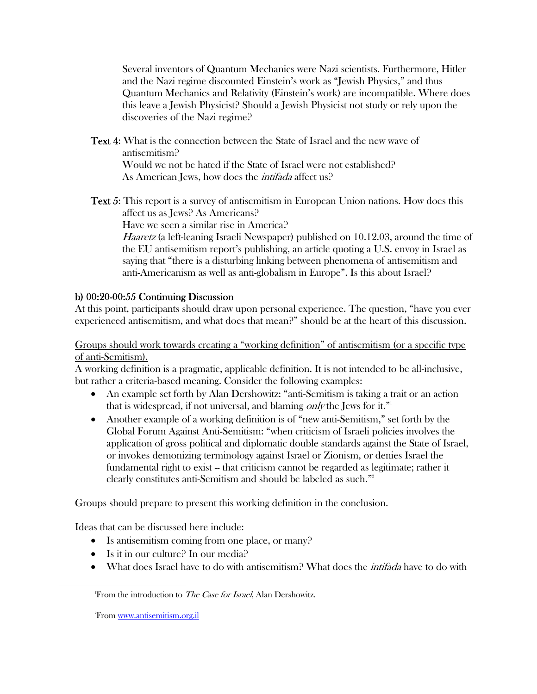Several inventors of Quantum Mechanics were Nazi scientists. Furthermore, Hitler and the Nazi regime discounted Einstein's work as "Jewish Physics," and thus Quantum Mechanics and Relativity (Einstein's work) are incompatible. Where does this leave a Jewish Physicist? Should a Jewish Physicist not study or rely upon the discoveries of the Nazi regime?

Text 4: What is the connection between the State of Israel and the new wave of antisemitism? Would we not be hated if the State of Israel were not established? As American Jews, how does the *intifada* affect us?

**Text 5:** This report is a survey of antisemitism in European Union nations. How does this affect us as Jews? As Americans?

Have we seen a similar rise in America?

Haaretz (a left-leaning Israeli Newspaper) published on 10.12.03, around the time of the EU antisemitism report's publishing, an article quoting a U.S. envoy in Israel as saying that "there is a disturbing linking between phenomena of antisemitism and anti-Americanism as well as anti-globalism in Europe". Is this about Israel?

## b) 00:20-00:55 Continuing Discussion

 At this point, participants should draw upon personal experience. The question, "have you ever experienced antisemitism, and what does that mean?" should be at the heart of this discussion.

Groups should work towards creating a "working definition" of antisemitism (or a specific type of anti-Semitism).

A working definition is a pragmatic, applicable definition. It is not intended to be all-inclusive, but rather a criteria-based meaning. Consider the following examples:

- An example set forth by Alan Dershowitz: "anti-Semitism is taking a trait or an action that is widespread, if not universal, and blaming only the Jews for it."<sup>1</sup>
- Another example of a working definition is of "new anti-Semitism," set forth by the Global Forum Against Anti-Semitism: "when criticism of Israeli policies involves the application of gross political and diplomatic double standards against the State of Israel, or invokes demonizing terminology against Israel or Zionism, or denies Israel the fundamental right to exist -- that criticism cannot be regarded as legitimate; rather it clearly constitutes anti-Semitism and should be labeled as such."2

Groups should prepare to present this working definition in the conclusion.

Ideas that can be discussed here include:

- Is antisemitism coming from one place, or many?
- Is it in our culture? In our media?
- What does Israel have to do with antisemitism? What does the *intifada* have to do with

<sup>2</sup>From <u>www.antisemitism.org.il</u>

1

From the introduction to The Case for Israel, Alan Dershowitz.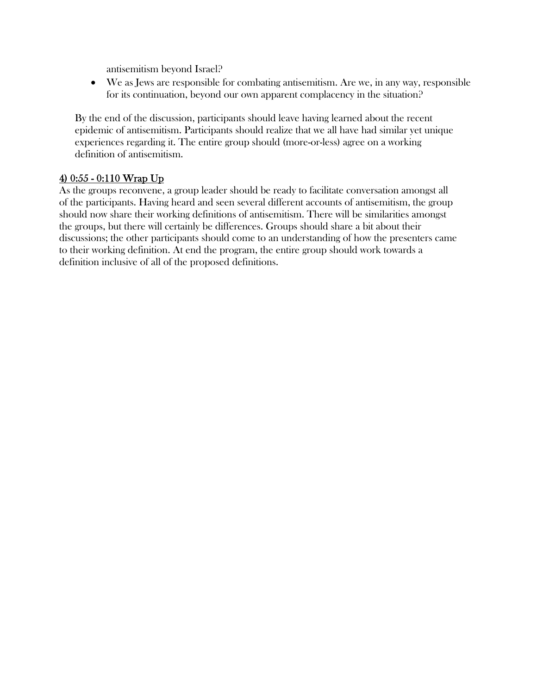antisemitism beyond Israel?

• We as Jews are responsible for combating antisemitism. Are we, in any way, responsible for its continuation, beyond our own apparent complacency in the situation?

By the end of the discussion, participants should leave having learned about the recent epidemic of antisemitism. Participants should realize that we all have had similar yet unique experiences regarding it. The entire group should (more-or-less) agree on a working definition of antisemitism.

## 4) 0:55 - 0:110 Wrap Up

As the groups reconvene, a group leader should be ready to facilitate conversation amongst all of the participants. Having heard and seen several different accounts of antisemitism, the group should now share their working definitions of antisemitism. There will be similarities amongst the groups, but there will certainly be differences. Groups should share a bit about their discussions; the other participants should come to an understanding of how the presenters came to their working definition. At end the program, the entire group should work towards a definition inclusive of all of the proposed definitions.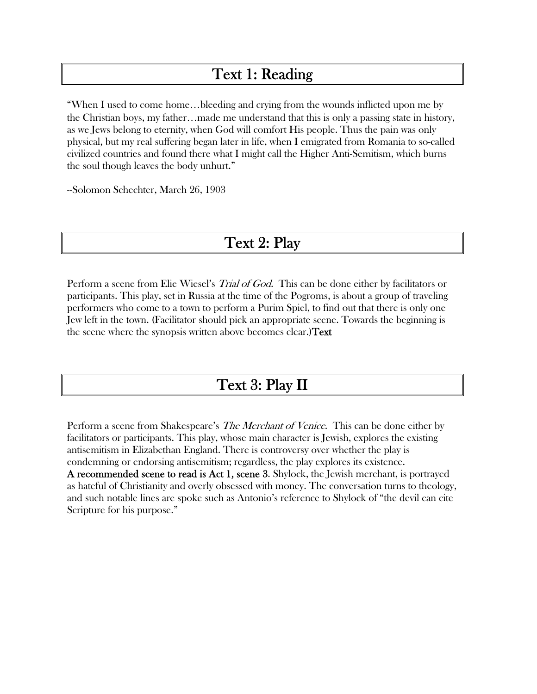## Text 1: Reading

"When I used to come home…bleeding and crying from the wounds inflicted upon me by the Christian boys, my father…made me understand that this is only a passing state in history, as we Jews belong to eternity, when God will comfort His people. Thus the pain was only physical, but my real suffering began later in life, when I emigrated from Romania to so-called civilized countries and found there what I might call the Higher Anti-Semitism, which burns the soul though leaves the body unhurt."

--Solomon Schechter, March 26, 1903

## Text 2: Play

Perform a scene from Elie Wiesel's *Trial of God*. This can be done either by facilitators or participants. This play, set in Russia at the time of the Pogroms, is about a group of traveling performers who come to a town to perform a Purim Spiel, to find out that there is only one Jew left in the town. (Facilitator should pick an appropriate scene. Towards the beginning is the scene where the synopsis written above becomes clear.)Text

## Text 3: Play II

Perform a scene from Shakespeare's *The Merchant of Venice*. This can be done either by facilitators or participants. This play, whose main character is Jewish, explores the existing antisemitism in Elizabethan England. There is controversy over whether the play is condemning or endorsing antisemitism; regardless, the play explores its existence. A recommended scene to read is Act 1, scene 3. Shylock, the Jewish merchant, is portrayed as hateful of Christianity and overly obsessed with money. The conversation turns to theology, and such notable lines are spoke such as Antonio's reference to Shylock of "the devil can cite Scripture for his purpose."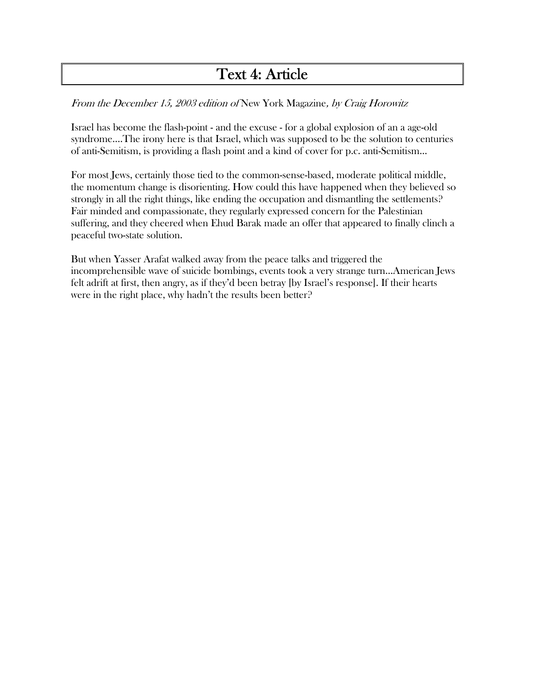# Text 4: Article

### From the December 15, 2003 edition of New York Magazine, by Craig Horowitz

Israel has become the flash-point - and the excuse - for a global explosion of an a age-old syndrome....The irony here is that Israel, which was supposed to be the solution to centuries of anti-Semitism, is providing a flash point and a kind of cover for p.c. anti-Semitism...

For most Jews, certainly those tied to the common-sense-based, moderate political middle, the momentum change is disorienting. How could this have happened when they believed so strongly in all the right things, like ending the occupation and dismantling the settlements? Fair minded and compassionate, they regularly expressed concern for the Palestinian suffering, and they cheered when Ehud Barak made an offer that appeared to finally clinch a peaceful two-state solution.

But when Yasser Arafat walked away from the peace talks and triggered the incomprehensible wave of suicide bombings, events took a very strange turn...American Jews felt adrift at first, then angry, as if they'd been betray [by Israel's response]. If their hearts were in the right place, why hadn't the results been better?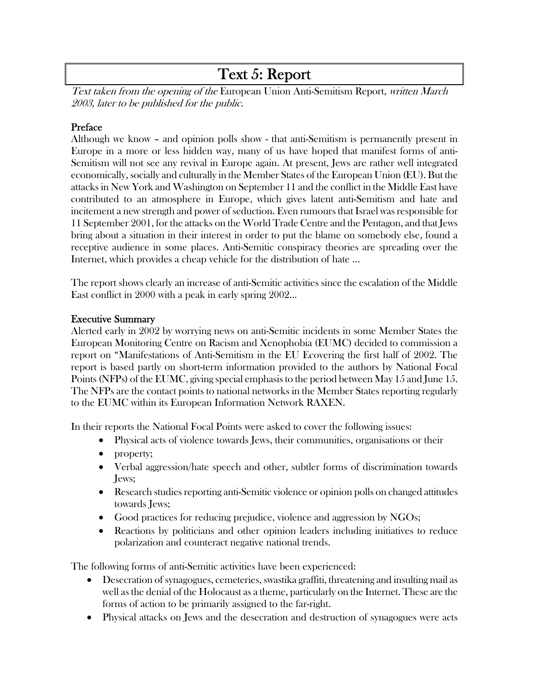# Text 5: Report

Text taken from the opening of the European Union Anti-Semitism Report, written March 2003, later to be published for the public.

#### Preface

Although we know – and opinion polls show - that anti-Semitism is permanently present in Europe in a more or less hidden way, many of us have hoped that manifest forms of anti-Semitism will not see any revival in Europe again. At present, Jews are rather well integrated economically, socially and culturally in the Member States of the European Union (EU). But the attacks in New York and Washington on September 11 and the conflict in the Middle East have contributed to an atmosphere in Europe, which gives latent anti-Semitism and hate and incitement a new strength and power of seduction. Even rumours that Israel was responsible for 11 September 2001, for the attacks on the World Trade Centre and the Pentagon, and that Jews bring about a situation in their interest in order to put the blame on somebody else, found a receptive audience in some places. Anti-Semitic conspiracy theories are spreading over the Internet, which provides a cheap vehicle for the distribution of hate ...

The report shows clearly an increase of anti-Semitic activities since the escalation of the Middle East conflict in 2000 with a peak in early spring 2002...

#### Executive Summary

Alerted early in 2002 by worrying news on anti-Semitic incidents in some Member States the European Monitoring Centre on Racism and Xenophobia (EUMC) decided to commission a report on "Manifestations of Anti-Semitism in the EU Ecovering the first half of 2002. The report is based partly on short-term information provided to the authors by National Focal Points (NFPs) of the EUMC, giving special emphasis to the period between May 15 and June 15. The NFPs are the contact points to national networks in the Member States reporting regularly to the EUMC within its European Information Network RAXEN.

In their reports the National Focal Points were asked to cover the following issues:

- Physical acts of violence towards Jews, their communities, organisations or their
- property;
- Verbal aggression/hate speech and other, subtler forms of discrimination towards Jews;
- Research studies reporting anti-Semitic violence or opinion polls on changed attitudes towards Jews;
- Good practices for reducing prejudice, violence and aggression by NGOs;
- Reactions by politicians and other opinion leaders including initiatives to reduce polarization and counteract negative national trends.

The following forms of anti-Semitic activities have been experienced:

- Desecration of synagogues, cemeteries, swastika graffiti, threatening and insulting mail as well as the denial of the Holocaust as a theme, particularly on the Internet. These are the forms of action to be primarily assigned to the far-right.
- Physical attacks on Jews and the desecration and destruction of synagogues were acts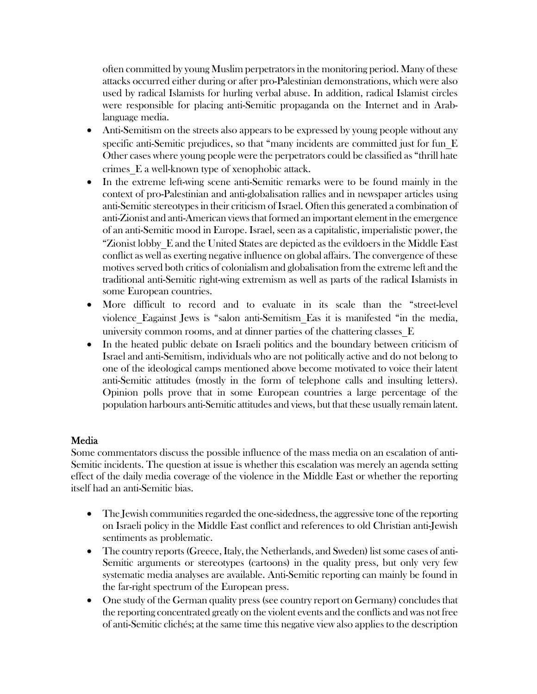often committed by young Muslim perpetrators in the monitoring period. Many of these attacks occurred either during or after pro-Palestinian demonstrations, which were also used by radical Islamists for hurling verbal abuse. In addition, radical Islamist circles were responsible for placing anti-Semitic propaganda on the Internet and in Arablanguage media.

- Anti-Semitism on the streets also appears to be expressed by young people without any specific anti-Semitic prejudices, so that "many incidents are committed just for fun E Other cases where young people were the perpetrators could be classified as "thrill hate crimes\_E a well-known type of xenophobic attack.
- In the extreme left-wing scene anti-Semitic remarks were to be found mainly in the context of pro-Palestinian and anti-globalisation rallies and in newspaper articles using anti-Semitic stereotypes in their criticism of Israel. Often this generated a combination of anti-Zionist and anti-American views that formed an important element in the emergence of an anti-Semitic mood in Europe. Israel, seen as a capitalistic, imperialistic power, the "Zionist lobby\_E and the United States are depicted as the evildoers in the Middle East conflict as well as exerting negative influence on global affairs. The convergence of these motives served both critics of colonialism and globalisation from the extreme left and the traditional anti-Semitic right-wing extremism as well as parts of the radical Islamists in some European countries.
- More difficult to record and to evaluate in its scale than the "street-level violence\_Eagainst Jews is "salon anti-Semitism\_Eas it is manifested "in the media, university common rooms, and at dinner parties of the chattering classes\_E
- In the heated public debate on Israeli politics and the boundary between criticism of Israel and anti-Semitism, individuals who are not politically active and do not belong to one of the ideological camps mentioned above become motivated to voice their latent anti-Semitic attitudes (mostly in the form of telephone calls and insulting letters). Opinion polls prove that in some European countries a large percentage of the population harbours anti-Semitic attitudes and views, but that these usually remain latent.

## Media

Some commentators discuss the possible influence of the mass media on an escalation of anti-Semitic incidents. The question at issue is whether this escalation was merely an agenda setting effect of the daily media coverage of the violence in the Middle East or whether the reporting itself had an anti-Semitic bias.

- The Jewish communities regarded the one-sidedness, the aggressive tone of the reporting on Israeli policy in the Middle East conflict and references to old Christian anti-Jewish sentiments as problematic.
- The country reports (Greece, Italy, the Netherlands, and Sweden) list some cases of anti-Semitic arguments or stereotypes (cartoons) in the quality press, but only very few systematic media analyses are available. Anti-Semitic reporting can mainly be found in the far-right spectrum of the European press.
- One study of the German quality press (see country report on Germany) concludes that the reporting concentrated greatly on the violent events and the conflicts and was not free of anti-Semitic clichés; at the same time this negative view also applies to the description